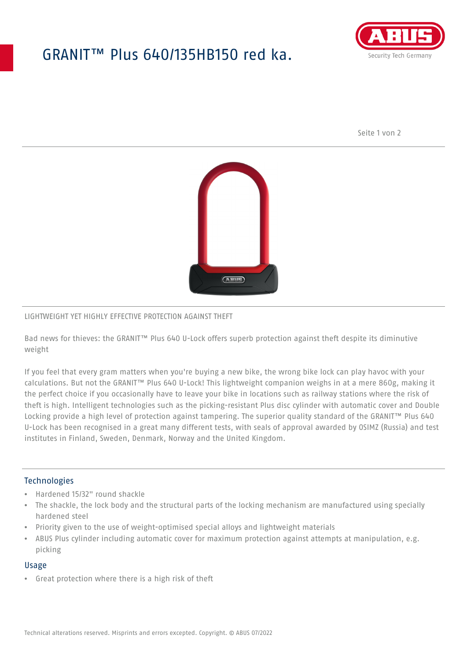## GRANIT™ Plus 640/135HB150 red ka.



Seite 1 von 2



#### LIGHTWEIGHT YET HIGHLY EFFECTIVE PROTECTION AGAINST THEFT

Bad news for thieves: the GRANIT™ Plus 640 U-Lock offers superb protection against theft despite its diminutive weight

If you feel that every gram matters when you're buying a new bike, the wrong bike lock can play havoc with your calculations. But not the GRANIT™ Plus 640 U-Lock! This lightweight companion weighs in at a mere 860g, making it the perfect choice if you occasionally have to leave your bike in locations such as railway stations where the risk of theft is high. Intelligent technologies such as the picking-resistant Plus disc cylinder with automatic cover and Double Locking provide a high level of protection against tampering. The superior quality standard of the GRANIT™ Plus 640 U-Lock has been recognised in a great many different tests, with seals of approval awarded by OSIMZ (Russia) and test institutes in Finland, Sweden, Denmark, Norway and the United Kingdom.

## **Technologies**

- Hardened 15/32" round shackle
- The shackle, the lock body and the structural parts of the locking mechanism are manufactured using specially hardened steel
- Priority given to the use of weight-optimised special alloys and lightweight materials
- ABUS Plus cylinder including automatic cover for maximum protection against attempts at manipulation, e.g. picking

#### Usage

• Great protection where there is a high risk of theft